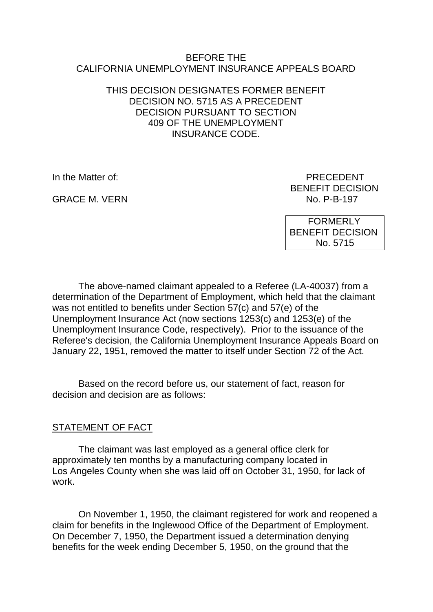### BEFORE THE CALIFORNIA UNEMPLOYMENT INSURANCE APPEALS BOARD

## THIS DECISION DESIGNATES FORMER BENEFIT DECISION NO. 5715 AS A PRECEDENT DECISION PURSUANT TO SECTION 409 OF THE UNEMPLOYMENT INSURANCE CODE.

**GRACE M. VERN** 

In the Matter of: PRECEDENT BENEFIT DECISION<br>No. P-B-197

> FORMERLY BENEFIT DECISION No. 5715

The above-named claimant appealed to a Referee (LA-40037) from a determination of the Department of Employment, which held that the claimant was not entitled to benefits under Section 57(c) and 57(e) of the Unemployment Insurance Act (now sections 1253(c) and 1253(e) of the Unemployment Insurance Code, respectively). Prior to the issuance of the Referee's decision, the California Unemployment Insurance Appeals Board on January 22, 1951, removed the matter to itself under Section 72 of the Act.

Based on the record before us, our statement of fact, reason for decision and decision are as follows:

## STATEMENT OF FACT

The claimant was last employed as a general office clerk for approximately ten months by a manufacturing company located in Los Angeles County when she was laid off on October 31, 1950, for lack of work.

On November 1, 1950, the claimant registered for work and reopened a claim for benefits in the Inglewood Office of the Department of Employment. On December 7, 1950, the Department issued a determination denying benefits for the week ending December 5, 1950, on the ground that the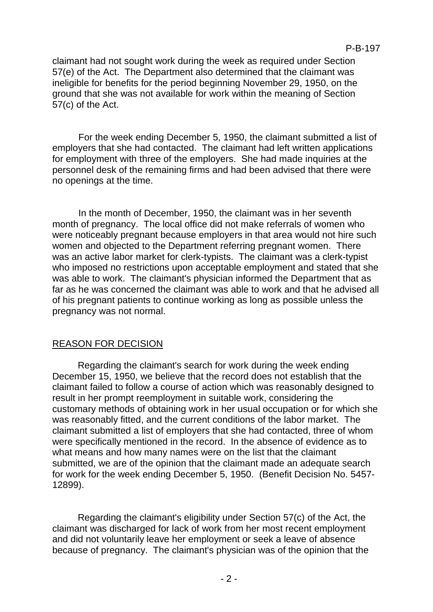claimant had not sought work during the week as required under Section 57(e) of the Act. The Department also determined that the claimant was ineligible for benefits for the period beginning November 29, 1950, on the ground that she was not available for work within the meaning of Section 57(c) of the Act.

For the week ending December 5, 1950, the claimant submitted a list of employers that she had contacted. The claimant had left written applications for employment with three of the employers. She had made inquiries at the personnel desk of the remaining firms and had been advised that there were no openings at the time.

In the month of December, 1950, the claimant was in her seventh month of pregnancy. The local office did not make referrals of women who were noticeably pregnant because employers in that area would not hire such women and objected to the Department referring pregnant women. There was an active labor market for clerk-typists. The claimant was a clerk-typist who imposed no restrictions upon acceptable employment and stated that she was able to work. The claimant's physician informed the Department that as far as he was concerned the claimant was able to work and that he advised all of his pregnant patients to continue working as long as possible unless the pregnancy was not normal.

# REASON FOR DECISION

Regarding the claimant's search for work during the week ending December 15, 1950, we believe that the record does not establish that the claimant failed to follow a course of action which was reasonably designed to result in her prompt reemployment in suitable work, considering the customary methods of obtaining work in her usual occupation or for which she was reasonably fitted, and the current conditions of the labor market. The claimant submitted a list of employers that she had contacted, three of whom were specifically mentioned in the record. In the absence of evidence as to what means and how many names were on the list that the claimant submitted, we are of the opinion that the claimant made an adequate search for work for the week ending December 5, 1950. (Benefit Decision No. 5457- 12899).

Regarding the claimant's eligibility under Section 57(c) of the Act, the claimant was discharged for lack of work from her most recent employment and did not voluntarily leave her employment or seek a leave of absence because of pregnancy. The claimant's physician was of the opinion that the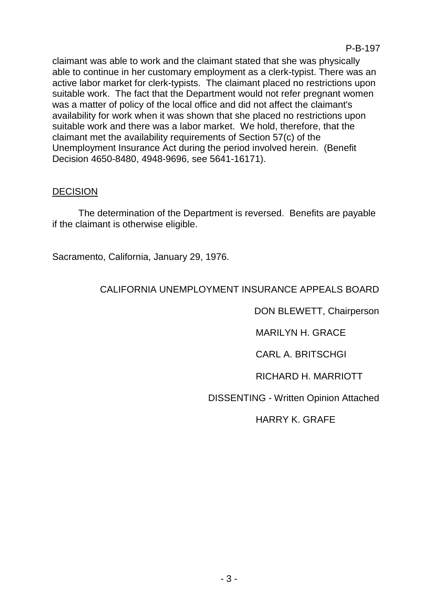claimant was able to work and the claimant stated that she was physically able to continue in her customary employment as a clerk-typist. There was an active labor market for clerk-typists. The claimant placed no restrictions upon suitable work. The fact that the Department would not refer pregnant women was a matter of policy of the local office and did not affect the claimant's availability for work when it was shown that she placed no restrictions upon suitable work and there was a labor market. We hold, therefore, that the claimant met the availability requirements of Section 57(c) of the Unemployment Insurance Act during the period involved herein. (Benefit Decision 4650-8480, 4948-9696, see 5641-16171).

## **DECISION**

The determination of the Department is reversed. Benefits are payable if the claimant is otherwise eligible.

Sacramento, California, January 29, 1976.

# CALIFORNIA UNEMPLOYMENT INSURANCE APPEALS BOARD

DON BLEWETT, Chairperson

MARILYN H. GRACE

CARL A. BRITSCHGI

RICHARD H. MARRIOTT

DISSENTING - Written Opinion Attached

HARRY K. GRAFE